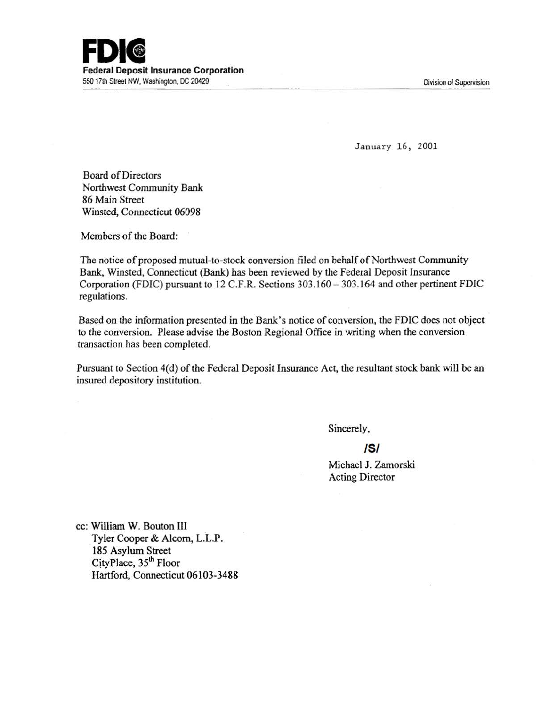

January 16, 2001

Board of Directors Northwest Community Bank 86 Main Street Winsted, Connecticut 06098

Members of the Board:

The notice of proposed mutual-to-stock conversion filed on behalf of Northwest Community Bank, Winsted, Cormecticut (Bank) has been reviewed by the Federal Deposit Insurance Corporation (FDIC) pursuant to 12 C.F.R. Sections 303.160 - 303.164 and other pertinent FDIC regulations.

Based on the information presented in the Bank's notice of conversion, the FDIC does not object to the conversion. Please advise the Boston Regional Office in writing when the conversion transaction has been completed.

Pursuant to Section 4(d) of the Federal Deposit Insurance Act, the resultant stock bank will be an insured depository institution.

Sincerely,

## **/5/**

Michael J. Zamorski Acting Director

cc: William W. Bouton III Tyler Cooper & Alcorn, L.L.P. 185 Asylum Street CityPlace, 35<sup>th</sup> Floor Hartford, Connecticut 06103-3488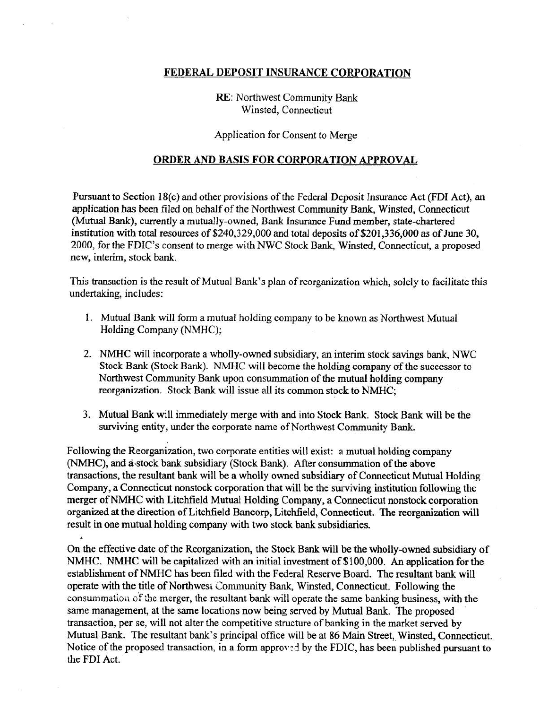## FEDERAL DEPOSIT INSURANCE CORPORATION

RE: Northwest Community Bank Winsted, Connecticut

Application for Consent to Merge

## ORDER AND BASIS FOR CORPORATION APPROVAL

Pursuant to Section 18(c) and other provisions of the Federal Deposit Insurance Act (FDI Act), an application has been filed on behalf of the Northwest Community Bank, Winsted, Connecticut (Mutual Bank), currently a mutually-owned, Bank Insurance Fund member, state-chartered institution with total resources of \$240,329,000 and total deposits of \$201,336,000 as of June 30, 2000, for the FDIC's consent to merge with NWC Stock Bank, Winsted, Connecticut, a proposed new, interim, stock bank.

This transaction is the result of Mutual Bank's plan of reorganization which, solely to facilitate this undertaking, includes:

- I. Mutual Bank will form a mutual holding company to be known as Northwest Mutual Holding Company (NMHC);
- 2. NMHC will incorporate a wholly-owned subsidiary, an interim stock savings bank, NWC Stock Bank (Stock Bank). NMHC will become the holding company of the successor to Northwest Community Bank upon consummation of the mutual holding company reorganization. Stock Bank will issue all its common stock to NMHC;
- 3. Mutual Bank will immediately merge with and into Stock Bank. Stock Bank will be the surviving entity, under the corporate name of Northwest Community Bank.

Following the Reorganization, two corporate entities will exist: a mutual holding company (NMHC), and a-stock bank subsidiary (Stock Bank). After consummation of the above transactions, the resultant bank will be a wholly owned subsidiary of Connecticut Mutual Holding Company, a Connecticut nonstock corporation that will be the surviving institution following the merger of NMHC with Litchfield Mutual Holding Company, a Connecticut nonstock corporation organized at the direction of Litchfield Bancorp, Litchfield, Connecticut. The reorganization will result in one mutual holding company with two stock bank subsidiaries.

On the effective date of the Reorganization, the Stock Bank will be the wholly-owned subsidiary of NMHC. NMHC will be capitalized with an initial investment of \$100,000. An application for the establishment of NMHC has been filed with the Federal Reserve Board. The resultant bank will operate with the title of Northwesi Community Bank, Winsted, Connecticut. Following the consummation of the merger, the resultant bank will operate the same banking business, with the same management, at the same locations now being served by Mutual Bank. The proposed transaction, per se, will not alter the competitive structure of banking in the market served by Mutual Bank. The resultant bank's principal office will be at 86 Main Street, Winsted, Connecticut. Notice of the proposed transaction, in a form approyed by the FDIC, has been published pursuant to the FDI Act.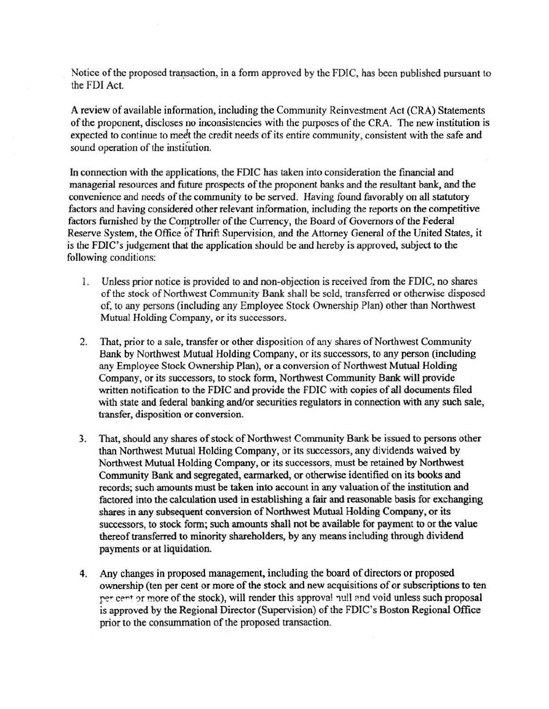Notice of the proposed transaction, in a form approved by the FDIC, has been published pursuant to the FDI Act.

A review of available information, including the Community Reinvestment Act (CRA) Statements of the proponent, discloses no inconsistencies with the purposes of the CRA. The new institution is expected to continue to meet the credit needs of its entire community, consistent with the safe and sound operation of the institution.

In connection with the applications, the FDIC has taken into consideration the financial and managerial resources and future prospects of the proponent banks and the resultant bank, and the convenience and needs of the community to be served. Having found favorably on all statutory factors and having considered other relevant information, including the reports on the competitive factors furnished by the Comptroller of the Currency, the Board of Governors of the Federal Reserve System, the Office of Thrift Supervision, and the Attorney General of the United States, it is the FDIC's judgement that the application should be and hereby is approved, subject to the following conditions:

- I. Unless prior notice is provided to and non-objection is received from the FDIC, no shares of the stock of Northwest Community Bank shall be sold, transferred or otherwise disposed of, to any persons (including any Employee Stock Ownership Plan) other than Northwest Mutual Holding Company, or its successors.
- 2. That, prior to a sale, transfer or other disposition of any shares of Northwest Community Bank by Northwest Mutual Holding Company, or its successors, to any person (including any Employee Stock Ownership Plan), or a conversion of Northwest Mutual Holding Company, or its successors, to stock form, Northwest Community Bank will provide written notification to the FDIC and provide the FDIC with copies of all documents filed with state and federal banking and/or securities regulators in connection with any such sale, transfer, disposition or conversion.
- 3. That, should any shares of stock of Northwest Community Bank be issued to persons other than Northwest Mutual Holding Company, or its successors, any dividends waived by Northwest Mutual Holding Company, or its successors, must be retained by Northwest Community Bank and segregated, earmarked, or otherwise identified on its books and records; such amounts must be taken into account in any valuation of the institution and factored into the calculation used in establishing a fair and reasonable basis for exchanging shares in any subsequent conversion of Northwest Mutual Holding Company, or its successors, to stock form; such amounts shall not be available for payment to or the value thereof transferred to minority shareholders, by any means including through dividend payments or at liquidation.
- 4. Any changes in proposed management, including the board of directors or proposed ownership (ten per cent or more of the stock and new acquisitions of or subscriptions to ten per cent or more of the stock), will render this approval pull and void unless such proposal is approved by the Regional Director (Supervision) of the FDIC's Boston Regional Office prior to the consummation of the proposed transaction.